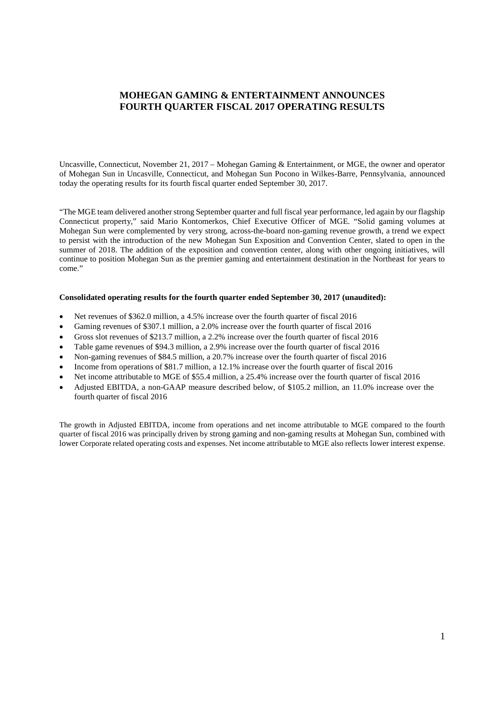# **MOHEGAN GAMING & ENTERTAINMENT ANNOUNCES FOURTH QUARTER FISCAL 2017 OPERATING RESULTS**

Uncasville, Connecticut, November 21, 2017 – Mohegan Gaming & Entertainment, or MGE, the owner and operator of Mohegan Sun in Uncasville, Connecticut, and Mohegan Sun Pocono in Wilkes-Barre, Pennsylvania, announced today the operating results for its fourth fiscal quarter ended September 30, 2017.

"The MGE team delivered another strong September quarter and full fiscal year performance, led again by our flagship Connecticut property," said Mario Kontomerkos, Chief Executive Officer of MGE. "Solid gaming volumes at Mohegan Sun were complemented by very strong, across-the-board non-gaming revenue growth, a trend we expect to persist with the introduction of the new Mohegan Sun Exposition and Convention Center, slated to open in the summer of 2018. The addition of the exposition and convention center, along with other ongoing initiatives, will continue to position Mohegan Sun as the premier gaming and entertainment destination in the Northeast for years to come."

### **Consolidated operating results for the fourth quarter ended September 30, 2017 (unaudited):**

- Net revenues of \$362.0 million, a 4.5% increase over the fourth quarter of fiscal 2016
- Gaming revenues of \$307.1 million, a 2.0% increase over the fourth quarter of fiscal 2016
- Gross slot revenues of \$213.7 million, a 2.2% increase over the fourth quarter of fiscal 2016
- Table game revenues of \$94.3 million, a 2.9% increase over the fourth quarter of fiscal 2016
- Non-gaming revenues of \$84.5 million, a 20.7% increase over the fourth quarter of fiscal 2016
- Income from operations of \$81.7 million, a 12.1% increase over the fourth quarter of fiscal 2016
- Net income attributable to MGE of \$55.4 million, a 25.4% increase over the fourth quarter of fiscal 2016
- Adjusted EBITDA, a non-GAAP measure described below, of \$105.2 million, an 11.0% increase over the fourth quarter of fiscal 2016

The growth in Adjusted EBITDA, income from operations and net income attributable to MGE compared to the fourth quarter of fiscal 2016 was principally driven by strong gaming and non-gaming results at Mohegan Sun, combined with lower Corporate related operating costs and expenses. Net income attributable to MGE also reflects lower interest expense.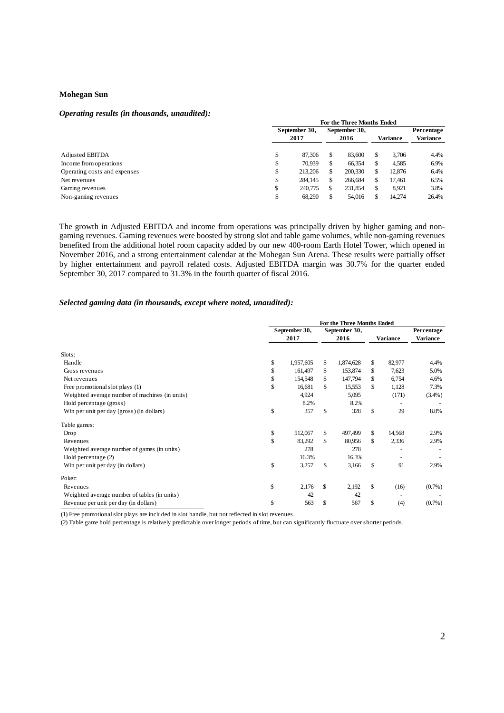## **Mohegan Sun**

#### *Operating results (in thousands, unaudited):*

|                              | For the Three Months Ended |         |    |               |          |        |                 |  |  |  |
|------------------------------|----------------------------|---------|----|---------------|----------|--------|-----------------|--|--|--|
|                              | September 30,              |         |    | September 30, |          |        | Percentage      |  |  |  |
|                              | 2017                       |         |    | 2016          | Variance |        | <b>Variance</b> |  |  |  |
| Adjusted EBITDA              | \$                         | 87.306  | \$ | 83,600        |          | 3.706  | 4.4%            |  |  |  |
| Income from operations       | \$                         | 70.939  | S  | 66,354        |          | 4,585  | 6.9%            |  |  |  |
| Operating costs and expenses | \$                         | 213,206 | \$ | 200,330       |          | 12,876 | 6.4%            |  |  |  |
| Net revenues                 | \$                         | 284,145 | \$ | 266,684       |          | 17.461 | 6.5%            |  |  |  |
| Gaming revenues              | \$                         | 240,775 | \$ | 231,854       |          | 8,921  | 3.8%            |  |  |  |
| Non-gaming revenues          | \$                         | 68,290  | \$ | 54,016        |          | 14.274 | 26.4%           |  |  |  |

The growth in Adjusted EBITDA and income from operations was principally driven by higher gaming and nongaming revenues. Gaming revenues were boosted by strong slot and table game volumes, while non-gaming revenues benefited from the additional hotel room capacity added by our new 400-room Earth Hotel Tower, which opened in November 2016, and a strong entertainment calendar at the Mohegan Sun Arena. These results were partially offset by higher entertainment and payroll related costs. Adjusted EBITDA margin was 30.7% for the quarter ended September 30, 2017 compared to 31.3% in the fourth quarter of fiscal 2016.

# *Selected gaming data (in thousands, except where noted, unaudited):*

|                                                |                 | For the Three Months Ended |                 |                 |
|------------------------------------------------|-----------------|----------------------------|-----------------|-----------------|
|                                                | September 30,   | September 30,              |                 | Percentage      |
|                                                | 2017            | 2016                       | <b>Variance</b> | <b>Variance</b> |
| Slots:                                         |                 |                            |                 |                 |
| Handle                                         | \$<br>1,957,605 | \$<br>1,874,628            | \$<br>82,977    | 4.4%            |
| Gross revenues                                 | \$<br>161,497   | \$<br>153,874              | \$<br>7,623     | 5.0%            |
| Net revenues                                   | \$<br>154,548   | \$<br>147,794              | \$<br>6,754     | 4.6%            |
| Free promotional slot plays (1)                | \$<br>16,681    | \$<br>15,553               | \$<br>1,128     | 7.3%            |
| Weighted average number of machines (in units) | 4,924           | 5,095                      | (171)           | $(3.4\%)$       |
| Hold percentage (gross)                        | 8.2%            | 8.2%                       |                 |                 |
| Win per unit per day (gross) (in dollars)      | \$<br>357       | \$<br>328                  | \$<br>29        | 8.8%            |
| Table games:                                   |                 |                            |                 |                 |
| Drop                                           | \$<br>512,067   | \$<br>497,499              | \$<br>14,568    | 2.9%            |
| Revenues                                       | \$<br>83,292    | \$<br>80,956               | \$<br>2,336     | 2.9%            |
| Weighted average number of games (in units)    | 278             | 278                        |                 |                 |
| Hold percentage (2)                            | 16.3%           | 16.3%                      |                 |                 |
| Win per unit per day (in dollars)              | \$<br>3,257     | \$<br>3,166                | \$<br>91        | 2.9%            |
| Poker:                                         |                 |                            |                 |                 |
| Revenues                                       | \$<br>2,176     | \$<br>2,192                | \$<br>(16)      | $(0.7\%)$       |
| Weighted average number of tables (in units)   | 42              | 42                         |                 |                 |
| Revenue per unit per day (in dollars)          | \$<br>563       | \$<br>567                  | \$<br>(4)       | $(0.7\%)$       |

(1) Free promotional slot plays are included in slot handle, but not reflected in slot revenues.

(2) Table game hold percentage is relatively predictable over longer periods of time, but can significantly fluctuate over shorter periods.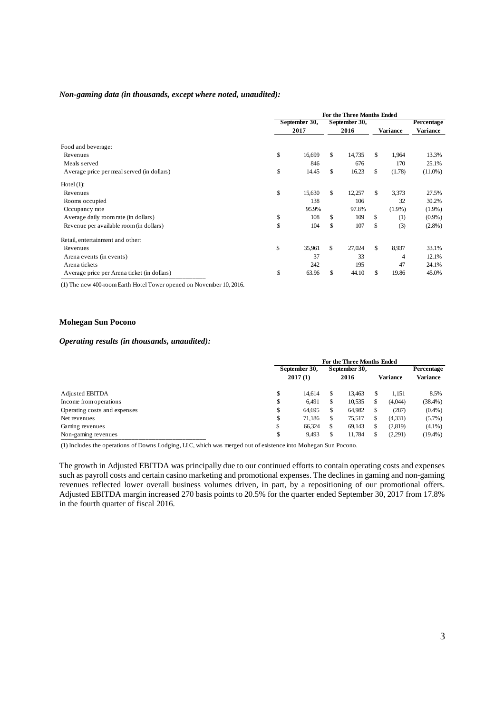#### *Non-gaming data (in thousands, except where noted, unaudited):*

|                                             |               | For the Three Months Ended |    |           |                 |
|---------------------------------------------|---------------|----------------------------|----|-----------|-----------------|
|                                             | September 30, | September 30,              |    |           | Percentage      |
|                                             | 2017          | 2016                       |    | Variance  | <b>Variance</b> |
| Food and beverage:                          |               |                            |    |           |                 |
| Revenues                                    | \$<br>16,699  | \$<br>14,735               | \$ | 1,964     | 13.3%           |
| Meals served                                | 846           | 676                        |    | 170       | 25.1%           |
| Average price per meal served (in dollars)  | \$<br>14.45   | \$<br>16.23                | \$ | (1.78)    | $(11.0\%)$      |
| Hotel $(1)$ :                               |               |                            |    |           |                 |
| Revenues                                    | \$<br>15,630  | \$<br>12,257               | \$ | 3,373     | 27.5%           |
| Rooms occupied                              | 138           | 106                        |    | 32        | 30.2%           |
| Occupancy rate                              | 95.9%         | 97.8%                      |    | $(1.9\%)$ | $(1.9\%)$       |
| Average daily room rate (in dollars)        | \$<br>108     | \$<br>109                  | \$ | (1)       | $(0.9\%)$       |
| Revenue per available room (in dollars)     | \$<br>104     | \$<br>107                  | \$ | (3)       | $(2.8\%)$       |
| Retail, entertainment and other:            |               |                            |    |           |                 |
| Revenues                                    | \$<br>35,961  | \$<br>27,024               | \$ | 8,937     | 33.1%           |
| Arena events (in events)                    | 37            | 33                         |    | 4         | 12.1%           |
| Arena tickets                               | 242           | 195                        |    | 47        | 24.1%           |
| Average price per Arena ticket (in dollars) | \$<br>63.96   | \$<br>44.10                | \$ | 19.86     | 45.0%           |

(1) The new 400-room Earth Hotel Tower opened on November 10, 2016.

### **Mohegan Sun Pocono**

# *Operating results (in thousands, unaudited):*

|                              | For the Three Months Ended |        |               |        |                 |         |            |  |  |  |  |
|------------------------------|----------------------------|--------|---------------|--------|-----------------|---------|------------|--|--|--|--|
|                              | September 30,<br>2017(1)   |        | September 30, |        |                 |         | Percentage |  |  |  |  |
|                              |                            |        |               | 2016   | <b>Variance</b> |         | Variance   |  |  |  |  |
|                              |                            |        |               |        |                 |         |            |  |  |  |  |
| Adjusted EBITDA              | \$                         | 14.614 | S             | 13.463 |                 | 1.151   | 8.5%       |  |  |  |  |
| Income from operations       | \$                         | 6.491  | S             | 10,535 |                 | (4,044) | $(38.4\%)$ |  |  |  |  |
| Operating costs and expenses | \$                         | 64.695 | S             | 64,982 |                 | (287)   | $(0.4\%)$  |  |  |  |  |
| Net revenues                 | \$                         | 71.186 | S             | 75.517 | S               | (4,331) | $(5.7\%)$  |  |  |  |  |
| Gaming revenues              | \$                         | 66.324 | S             | 69,143 |                 | (2,819) | $(4.1\%)$  |  |  |  |  |
| Non-gaming revenues          | \$                         | 9.493  |               | 11.784 |                 | (2,291) | $(19.4\%)$ |  |  |  |  |

(1) Includes the operations of Downs Lodging, LLC, which was merged out of existence into Mohegan Sun Pocono.

The growth in Adjusted EBITDA was principally due to our continued efforts to contain operating costs and expenses such as payroll costs and certain casino marketing and promotional expenses. The declines in gaming and non-gaming revenues reflected lower overall business volumes driven, in part, by a repositioning of our promotional offers. Adjusted EBITDA margin increased 270 basis points to 20.5% for the quarter ended September 30, 2017 from 17.8% in the fourth quarter of fiscal 2016.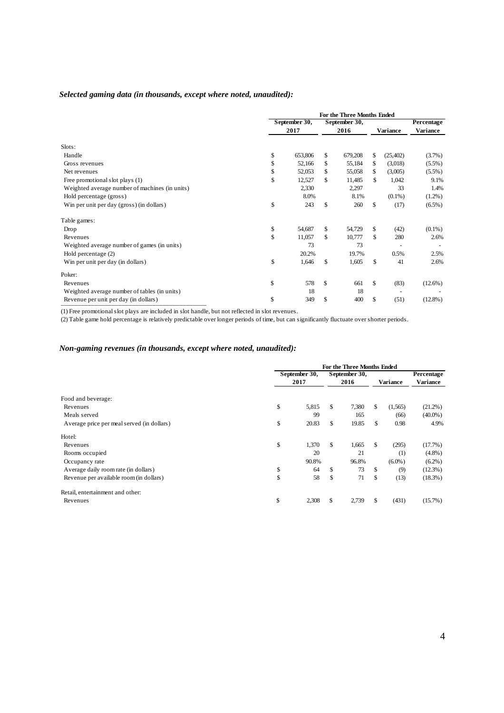# *Selected gaming data (in thousands, except where noted, unaudited):*

|                                                |      | For the Three Months Ended |    |               |    |           |            |  |
|------------------------------------------------|------|----------------------------|----|---------------|----|-----------|------------|--|
|                                                |      | September 30,              |    | September 30, |    |           | Percentage |  |
|                                                | 2017 |                            |    | 2016          |    | Variance  | Variance   |  |
| Slots:                                         |      |                            |    |               |    |           |            |  |
| Handle                                         | \$   | 653,806                    | \$ | 679,208       | \$ | (25, 402) | $(3.7\%)$  |  |
| Gross revenues                                 | \$   | 52,166                     | \$ | 55,184        | \$ | (3,018)   | $(5.5\%)$  |  |
| Net revenues                                   | \$   | 52,053                     | \$ | 55,058        | \$ | (3,005)   | $(5.5\%)$  |  |
| Free promotional slot plays (1)                | \$   | 12,527                     | \$ | 11,485        | \$ | 1,042     | 9.1%       |  |
| Weighted average number of machines (in units) |      | 2,330                      |    | 2,297         |    | 33        | 1.4%       |  |
| Hold percentage (gross)                        |      | 8.0%                       |    | 8.1%          |    | $(0.1\%)$ | $(1.2\%)$  |  |
| Win per unit per day (gross) (in dollars)      | \$   | 243                        | \$ | 260           | \$ | (17)      | $(6.5\%)$  |  |
| Table games:                                   |      |                            |    |               |    |           |            |  |
| Drop                                           | \$   | 54,687                     | \$ | 54,729        | \$ | (42)      | $(0.1\%)$  |  |
| Revenues                                       | \$   | 11,057                     | \$ | 10,777        | \$ | 280       | 2.6%       |  |
| Weighted average number of games (in units)    |      | 73                         |    | 73            |    |           |            |  |
| Hold percentage (2)                            |      | 20.2%                      |    | 19.7%         |    | 0.5%      | 2.5%       |  |
| Win per unit per day (in dollars)              | \$   | 1,646                      | \$ | 1,605         | \$ | 41        | 2.6%       |  |
| Poker:                                         |      |                            |    |               |    |           |            |  |
| Revenues                                       | \$   | 578                        | \$ | 661           | \$ | (83)      | $(12.6\%)$ |  |
| Weighted average number of tables (in units)   |      | 18                         |    | 18            |    |           |            |  |
| Revenue per unit per day (in dollars)          | \$   | 349                        | \$ | 400           | \$ | (51)      | $(12.8\%)$ |  |

(1) Free promotional slot plays are included in slot handle, but not reflected in slot revenues.

(2) Table game hold percentage is relatively predictable over longer periods of time, but can significantly fluctuate over shorter periods.

# *Non-gaming revenues (in thousands, except where noted, unaudited):*

|                                            | For the Three Months Ended |       |    |               |    |           |                 |  |
|--------------------------------------------|----------------------------|-------|----|---------------|----|-----------|-----------------|--|
|                                            | September 30,              |       |    | September 30, |    |           | Percentage      |  |
|                                            |                            | 2017  |    | 2016          |    | Variance  | <b>Variance</b> |  |
| Food and beverage:<br>Revenues             | \$                         | 5,815 | \$ | 7,380         | \$ | (1,565)   | $(21.2\%)$      |  |
| Meals served                               |                            | 99    |    | 165           |    | (66)      | $(40.0\%)$      |  |
| Average price per meal served (in dollars) | \$                         | 20.83 | \$ | 19.85         | \$ | 0.98      | 4.9%            |  |
| Hotel:                                     |                            |       |    |               |    |           |                 |  |
| Revenues                                   | \$                         | 1,370 | \$ | 1,665         | \$ | (295)     | $(17.7\%)$      |  |
| Rooms occupied                             |                            | 20    |    | 21            |    | (1)       | $(4.8\%)$       |  |
| Occupancy rate                             |                            | 90.8% |    | 96.8%         |    | $(6.0\%)$ | $(6.2\%)$       |  |
| Average daily room rate (in dollars)       | \$                         | 64    | \$ | 73            | \$ | (9)       | $(12.3\%)$      |  |
| Revenue per available room (in dollars)    | \$                         | 58    | \$ | 71            | \$ | (13)      | $(18.3\%)$      |  |
| Retail, entertainment and other:           |                            |       |    |               |    |           |                 |  |
| Revenues                                   | \$                         | 2,308 | S  | 2,739         | \$ | (431)     | $(15.7\%)$      |  |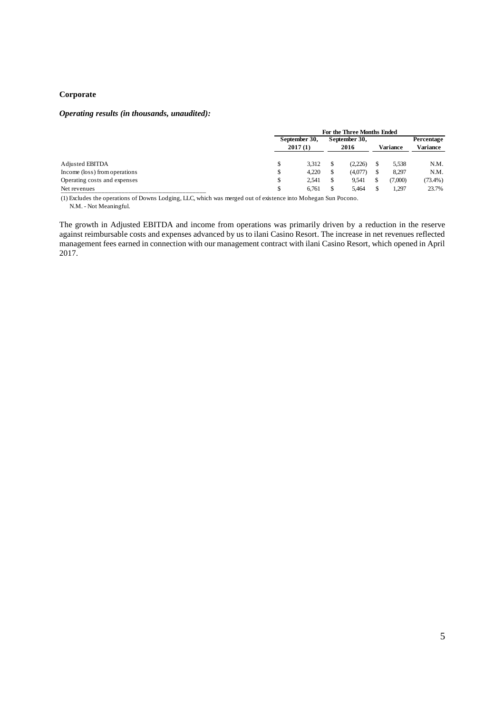# **Corporate**

# *Operating results (in thousands, unaudited):*

|                               |                          | For the Three Months Ended |                       |         |          |         |            |  |  |  |  |  |
|-------------------------------|--------------------------|----------------------------|-----------------------|---------|----------|---------|------------|--|--|--|--|--|
|                               | September 30,<br>2017(1) |                            | September 30,<br>2016 |         |          |         | Percentage |  |  |  |  |  |
|                               |                          |                            |                       |         | Variance |         | Variance   |  |  |  |  |  |
| Adjusted EBITDA               | \$                       | 3.312                      |                       | (2.226) |          | 5,538   | N.M.       |  |  |  |  |  |
| Income (loss) from operations | \$                       | 4.220                      |                       | (4,077) |          | 8.297   | N.M.       |  |  |  |  |  |
| Operating costs and expenses  | \$                       | 2.541                      |                       | 9.541   |          | (7.000) | $(73.4\%)$ |  |  |  |  |  |
| Net revenues                  |                          | 6.761                      |                       | 5.464   |          | 1.297   | 23.7%      |  |  |  |  |  |

(1) Excludes the operations of Downs Lodging, LLC, which was merged out of existence into Mohegan Sun Pocono. N.M. - Not Meaningful.

The growth in Adjusted EBITDA and income from operations was primarily driven by a reduction in the reserve against reimbursable costs and expenses advanced by us to ilani Casino Resort. The increase in net revenues reflected management fees earned in connection with our management contract with ilani Casino Resort, which opened in April 2017.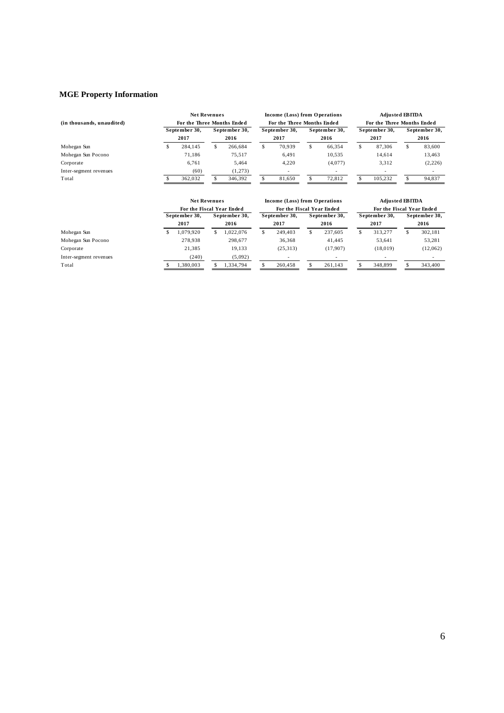# **MGE Property Information**

|                           |                            | <b>Net Revenues</b> |     |               |                            | Income (Loss) from Operations |   | <b>Adjusted EBITDA</b>   |                            |               |               |         |
|---------------------------|----------------------------|---------------------|-----|---------------|----------------------------|-------------------------------|---|--------------------------|----------------------------|---------------|---------------|---------|
| (in thousands, unaudited) | For the Three Months Ended |                     |     |               | For the Three Months Ended |                               |   |                          | For the Three Months Ended |               |               |         |
|                           | September 30,              |                     |     | September 30, |                            | September 30,                 |   | September 30,            |                            | September 30, | September 30, |         |
|                           |                            | 2017                |     | 2016          |                            | 2017                          |   | 2016                     |                            | 2017          |               | 2016    |
| Mohegan Sun               |                            | 284.145             | \$. | 266,684       |                            | 70.939                        | S | 66.354                   | S                          | 87.306        |               | 83,600  |
| Mohegan Sun Pocono        |                            | 71.186              |     | 75.517        |                            | 6,491                         |   | 10,535                   |                            | 14.614        |               | 13,463  |
| Corporate                 |                            | 6.761               |     | 5.464         |                            | 4.220                         |   | (4,077)                  |                            | 3.312         |               | (2,226) |
| Inter-segment revenues    |                            | (60)                |     | (1,273)       |                            | $\overline{\phantom{a}}$      |   | $\overline{\phantom{a}}$ |                            |               |               |         |
| Total                     |                            | 362.032             |     | 346,392       |                            | 81,650                        |   | 72.812                   |                            | 105.232       |               | 94,837  |

|                        | <b>Net Revenues</b> |                           |  |               |                           | Income (Loss) from Operations |               | <b>Adjusted EBITDA</b> |               |                           |  |               |  |               |  |
|------------------------|---------------------|---------------------------|--|---------------|---------------------------|-------------------------------|---------------|------------------------|---------------|---------------------------|--|---------------|--|---------------|--|
|                        |                     | For the Fiscal Year Ended |  |               | For the Fiscal Year Ended |                               |               |                        |               | For the Fiscal Year Ended |  |               |  |               |  |
|                        |                     | September 30,             |  | September 30, |                           |                               | September 30, |                        | September 30, |                           |  | September 30, |  | September 30, |  |
|                        |                     | 2017                      |  | 2016          |                           | 2017                          |               | 2016                   |               | 2017                      |  | 2016          |  |               |  |
| Mohegan Sun            |                     | 1,079,920                 |  | 1.022.076     |                           | 249,403                       | \$            | 237.605                |               | 313.277                   |  | 302,181       |  |               |  |
| Mohegan Sun Pocono     |                     | 278.938                   |  | 298.677       |                           | 36.368                        |               | 41.445                 |               | 53.641                    |  | 53,281        |  |               |  |
| Corporate              |                     | 21.385                    |  | 19.133        |                           | (25,313)                      |               | (17,907)               |               | (18,019)                  |  | (12,062)      |  |               |  |
| Inter-segment revenues |                     | (240)                     |  | (5,092)       |                           |                               |               |                        |               |                           |  |               |  |               |  |
| Total                  |                     | 1.380.003                 |  | 1.334.794     |                           | 260,458                       |               | 261.143                |               | 348,899                   |  | 343,400       |  |               |  |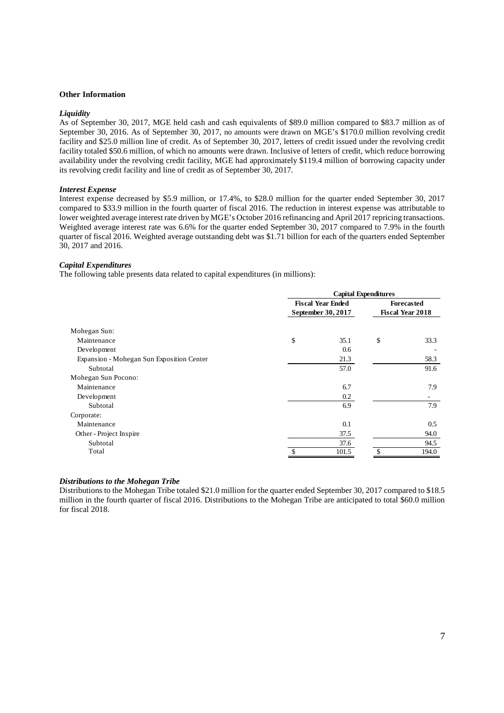#### **Other Information**

#### *Liquidity*

As of September 30, 2017, MGE held cash and cash equivalents of \$89.0 million compared to \$83.7 million as of September 30, 2016. As of September 30, 2017, no amounts were drawn on MGE's \$170.0 million revolving credit facility and \$25.0 million line of credit. As of September 30, 2017, letters of credit issued under the revolving credit facility totaled \$50.6 million, of which no amounts were drawn. Inclusive of letters of credit, which reduce borrowing availability under the revolving credit facility, MGE had approximately \$119.4 million of borrowing capacity under its revolving credit facility and line of credit as of September 30, 2017.

#### *Interest Expense*

Interest expense decreased by \$5.9 million, or 17.4%, to \$28.0 million for the quarter ended September 30, 2017 compared to \$33.9 million in the fourth quarter of fiscal 2016. The reduction in interest expense was attributable to lower weighted average interest rate driven by MGE's October 2016 refinancing and April 2017 repricing transactions. Weighted average interest rate was 6.6% for the quarter ended September 30, 2017 compared to 7.9% in the fourth quarter of fiscal 2016. Weighted average outstanding debt was \$1.71 billion for each of the quarters ended September 30, 2017 and 2016.

# *Capital Expenditures*

The following table presents data related to capital expenditures (in millions):

|                                           | <b>Capital Expenditures</b> |                          |    |                         |  |  |  |  |  |
|-------------------------------------------|-----------------------------|--------------------------|----|-------------------------|--|--|--|--|--|
|                                           |                             | <b>Fiscal Year Ended</b> |    | <b>Forecasted</b>       |  |  |  |  |  |
|                                           |                             | September 30, 2017       |    | <b>Fiscal Year 2018</b> |  |  |  |  |  |
| Mohegan Sun:                              |                             |                          |    |                         |  |  |  |  |  |
| Maintenance                               | \$                          | 35.1                     | \$ | 33.3                    |  |  |  |  |  |
| Development                               |                             | 0.6                      |    |                         |  |  |  |  |  |
| Expansion - Mohegan Sun Exposition Center |                             | 21.3                     |    | 58.3                    |  |  |  |  |  |
| Subtotal                                  |                             | 57.0                     |    | 91.6                    |  |  |  |  |  |
| Mohegan Sun Pocono:                       |                             |                          |    |                         |  |  |  |  |  |
| Maintenance                               |                             | 6.7                      |    | 7.9                     |  |  |  |  |  |
| Development                               |                             | 0.2                      |    |                         |  |  |  |  |  |
| Subtotal                                  |                             | 6.9                      |    | 7.9                     |  |  |  |  |  |
| Corporate:                                |                             |                          |    |                         |  |  |  |  |  |
| Maintenance                               |                             | 0.1                      |    | 0.5                     |  |  |  |  |  |
| Other - Project Inspire                   |                             | 37.5                     |    | 94.0                    |  |  |  |  |  |
| Subtotal                                  |                             | 37.6                     |    | 94.5                    |  |  |  |  |  |
| Total                                     |                             | 101.5                    |    | 194.0                   |  |  |  |  |  |

# *Distributions to the Mohegan Tribe*

Distributions to the Mohegan Tribe totaled \$21.0 million for the quarter ended September 30, 2017 compared to \$18.5 million in the fourth quarter of fiscal 2016. Distributions to the Mohegan Tribe are anticipated to total \$60.0 million for fiscal 2018.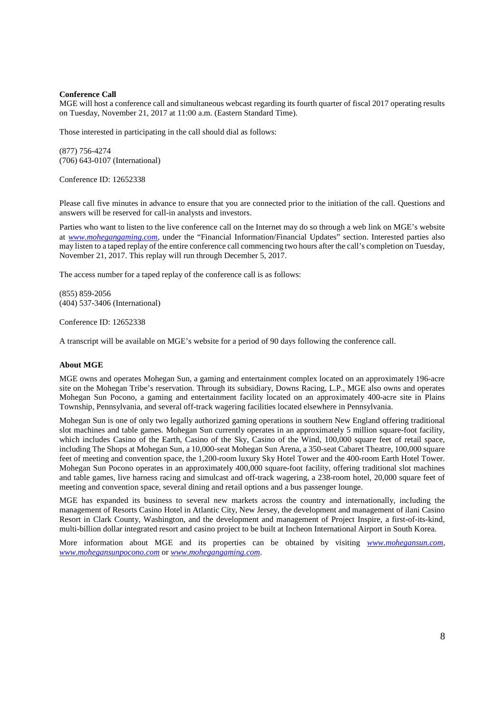## **Conference Call**

MGE will host a conference call and simultaneous webcast regarding its fourth quarter of fiscal 2017 operating results on Tuesday, November 21, 2017 at 11:00 a.m. (Eastern Standard Time).

Those interested in participating in the call should dial as follows:

(877) 756-4274 (706) 643-0107 (International)

Conference ID: 12652338

Please call five minutes in advance to ensure that you are connected prior to the initiation of the call. Questions and answers will be reserved for call-in analysts and investors.

Parties who want to listen to the live conference call on the Internet may do so through a web link on MGE's website at *www.mohegangaming.com*, under the "Financial Information/Financial Updates" section. Interested parties also may listen to a taped replay of the entire conference call commencing two hours after the call's completion on Tuesday, November 21, 2017. This replay will run through December 5, 2017.

The access number for a taped replay of the conference call is as follows:

(855) 859-2056 (404) 537-3406 (International)

Conference ID: 12652338

A transcript will be available on MGE's website for a period of 90 days following the conference call.

## **About MGE**

MGE owns and operates Mohegan Sun, a gaming and entertainment complex located on an approximately 196-acre site on the Mohegan Tribe's reservation. Through its subsidiary, Downs Racing, L.P., MGE also owns and operates Mohegan Sun Pocono, a gaming and entertainment facility located on an approximately 400-acre site in Plains Township, Pennsylvania, and several off-track wagering facilities located elsewhere in Pennsylvania.

Mohegan Sun is one of only two legally authorized gaming operations in southern New England offering traditional slot machines and table games. Mohegan Sun currently operates in an approximately 5 million square-foot facility, which includes Casino of the Earth, Casino of the Sky, Casino of the Wind, 100,000 square feet of retail space, including The Shops at Mohegan Sun, a 10,000-seat Mohegan Sun Arena, a 350-seat Cabaret Theatre, 100,000 square feet of meeting and convention space, the 1,200-room luxury Sky Hotel Tower and the 400-room Earth Hotel Tower. Mohegan Sun Pocono operates in an approximately 400,000 square-foot facility, offering traditional slot machines and table games, live harness racing and simulcast and off-track wagering, a 238-room hotel, 20,000 square feet of meeting and convention space, several dining and retail options and a bus passenger lounge.

MGE has expanded its business to several new markets across the country and internationally, including the management of Resorts Casino Hotel in Atlantic City, New Jersey, the development and management of ilani Casino Resort in Clark County, Washington, and the development and management of Project Inspire, a first-of-its-kind, multi-billion dollar integrated resort and casino project to be built at Incheon International Airport in South Korea.

More information about MGE and its properties can be obtained by visiting *www.mohegansun.com, www.mohegansunpocono.com* or *www.mohegangaming.com*.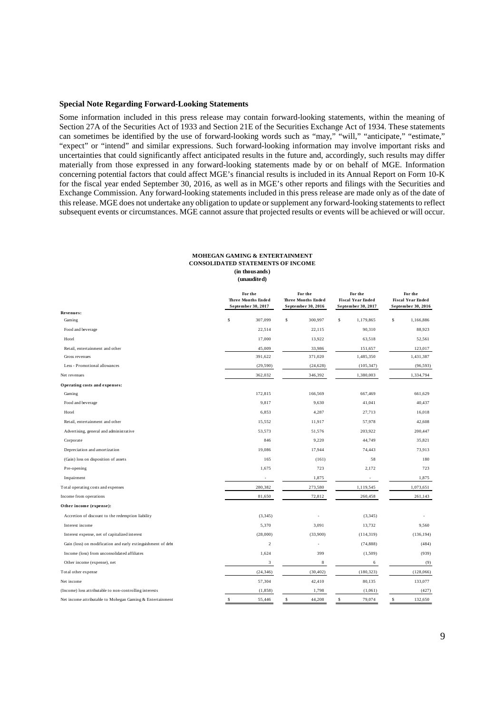#### **Special Note Regarding Forward-Looking Statements**

Some information included in this press release may contain forward-looking statements, within the meaning of Section 27A of the Securities Act of 1933 and Section 21E of the Securities Exchange Act of 1934. These statements can sometimes be identified by the use of forward-looking words such as "may," "will," "anticipate," "estimate," "expect" or "intend" and similar expressions. Such forward-looking information may involve important risks and uncertainties that could significantly affect anticipated results in the future and, accordingly, such results may differ materially from those expressed in any forward-looking statements made by or on behalf of MGE. Information concerning potential factors that could affect MGE's financial results is included in its Annual Report on Form 10-K for the fiscal year ended September 30, 2016, as well as in MGE's other reports and filings with the Securities and Exchange Commission. Any forward-looking statements included in this press release are made only as of the date of this release. MGE does not undertake any obligation to update or supplement any forward-looking statements to reflect subsequent events or circumstances. MGE cannot assure that projected results or events will be achieved or will occur.

#### **MOHEGAN GAMING & ENTERTAINMENT CONSOLIDATED STATEMENTS OF INCOME (in thousands) (unaudited)**

|                                                              | For the<br><b>Three Months Ended</b><br>September 30, 2017 |             | For the<br><b>Three Months Ended</b><br>September 30, 2016 | For the<br><b>Fiscal Year Ended</b><br>September 30, 2017 |             | For the<br><b>Fiscal Year Ended</b><br>September 30, 2016 |
|--------------------------------------------------------------|------------------------------------------------------------|-------------|------------------------------------------------------------|-----------------------------------------------------------|-------------|-----------------------------------------------------------|
| Revenues:                                                    |                                                            |             |                                                            |                                                           |             |                                                           |
| Gaming                                                       | \$<br>307,099                                              | \$          | 300,997                                                    | \$<br>1,179,865                                           | s           | 1,166,886                                                 |
| Food and beverage                                            | 22,514                                                     |             | 22,115                                                     | 90,310                                                    |             | 88,923                                                    |
| Hotel                                                        | 17,000                                                     |             | 13,922                                                     | 63,518                                                    |             | 52,561                                                    |
| Retail, entertainment and other                              | 45,009                                                     |             | 33,986                                                     | 151,657                                                   |             | 123,017                                                   |
| Gross revenues                                               | 391,622                                                    |             | 371,020                                                    | 1,485,350                                                 |             | 1,431,387                                                 |
| Less - Promotional allowances                                | (29, 590)                                                  |             | (24, 628)                                                  | (105, 347)                                                |             | (96, 593)                                                 |
| Net revenues                                                 | 362,032                                                    |             | 346,392                                                    | 1,380,003                                                 |             | 1,334,794                                                 |
| Operating costs and expenses:                                |                                                            |             |                                                            |                                                           |             |                                                           |
| Gaming                                                       | 172,815                                                    |             | 166,569                                                    | 667,469                                                   |             | 661,629                                                   |
| Food and beverage                                            | 9,817                                                      |             | 9,630                                                      | 41,041                                                    |             | 40,437                                                    |
| Hotel                                                        | 6,853                                                      |             | 4,287                                                      | 27,713                                                    |             | 16,018                                                    |
| Retail, entertainment and other                              | 15,552                                                     |             | 11,917                                                     | 57,978                                                    |             | 42,608                                                    |
| Advertising, general and administrative                      | 53,573                                                     |             | 51,576                                                     | 203,922                                                   |             | 200,447                                                   |
| Corporate                                                    | 846                                                        |             | 9,220                                                      | 44,749                                                    |             | 35,821                                                    |
| Depreciation and amortization                                | 19,086                                                     |             | 17,944                                                     | 74,443                                                    |             | 73,913                                                    |
| (Gain) loss on disposition of assets                         | 165                                                        |             | (161)                                                      | 58                                                        |             | 180                                                       |
| Pre-opening                                                  | 1,675                                                      |             | 723                                                        | 2,172                                                     |             | 723                                                       |
| Impairment                                                   |                                                            |             | 1,875                                                      |                                                           |             | 1,875                                                     |
| Total operating costs and expenses                           | 280,382                                                    |             | 273,580                                                    | 1,119,545                                                 |             | 1,073,651                                                 |
| Income from operations                                       | 81,650                                                     |             | 72,812                                                     | 260,458                                                   |             | 261,143                                                   |
| Other income (expense):                                      |                                                            |             |                                                            |                                                           |             |                                                           |
| Accretion of discount to the redemption liability            | (3, 345)                                                   |             |                                                            | (3, 345)                                                  |             |                                                           |
| Interest income                                              | 5,370                                                      |             | 3,091                                                      | 13,732                                                    |             | 9,560                                                     |
| Interest expense, net of capitalized interest                | (28,000)                                                   |             | (33,900)                                                   | (114, 319)                                                |             | (136, 194)                                                |
| Gain (loss) on modification and early extinguishment of debt | $\overline{c}$                                             |             | ä,                                                         | (74, 888)                                                 |             | (484)                                                     |
| Income (loss) from unconsolidated affiliates                 | 1,624                                                      |             | 399                                                        | (1, 509)                                                  |             | (939)                                                     |
| Other income (expense), net                                  | 3                                                          |             | 8                                                          | 6                                                         |             | (9)                                                       |
| Total other expense                                          | (24, 346)                                                  |             | (30, 402)                                                  | (180, 323)                                                |             | (128,066)                                                 |
| Net income                                                   | 57,304                                                     |             | 42,410                                                     | 80,135                                                    |             | 133,077                                                   |
| (Income) loss attributable to non-controlling interests      | (1, 858)                                                   |             | 1,798                                                      | (1,061)                                                   |             | (427)                                                     |
| Net income attributable to Mohegan Gaming & Entertainment    | \$<br>55,446                                               | $\mathbb S$ | 44,208                                                     | \$<br>79,074                                              | $\mathbb S$ | 132,650                                                   |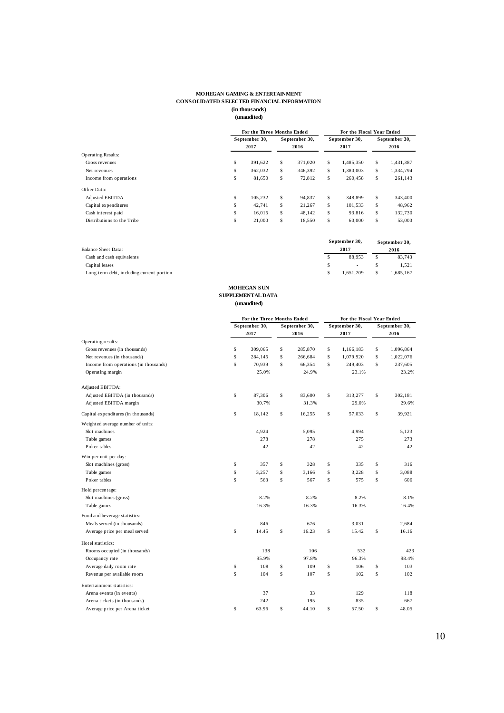#### **MOHEGAN GAMING & ENTERTAINMENT CONSOLIDATED SELECTED FINANCIAL INFORMATION (in thousands)**  $\mathbf{u}$

|                            |    | For the Three Months Ended |               |    | For the Fiscal Year Ended |                 |
|----------------------------|----|----------------------------|---------------|----|---------------------------|-----------------|
|                            |    | September 30.              | September 30, |    | September 30,             | September 30,   |
|                            |    | 2017                       | 2016          |    | 2017                      | 2016            |
| <b>Operating Results:</b>  |    |                            |               |    |                           |                 |
| Gross revenues             | \$ | 391.622                    | \$<br>371.020 | S  | 1.485.350                 | \$<br>1,431,387 |
| Net revenues               | Ŝ  | 362.032                    | \$<br>346.392 | S  | 1.380.003                 | \$<br>1,334,794 |
| Income from operations     | \$ | 81.650                     | \$<br>72.812  | S  | 260,458                   | \$<br>261,143   |
| Other Data:                |    |                            |               |    |                           |                 |
| Adjusted EBITDA            | \$ | 105.232                    | \$<br>94.837  | S  | 348,899                   | \$<br>343,400   |
| Capital expenditures       | \$ | 42.741                     | \$<br>21.267  | \$ | 101.533                   | \$<br>48.962    |
| Cash interest paid         | \$ | 16.015                     | \$<br>48.142  | S  | 93.816                    | \$<br>132,730   |
| Distributions to the Tribe | \$ | 21,000                     | \$<br>18,550  | s  | 60,000                    | \$<br>53,000    |

| Balance Sheet Data:                       | September 30,<br>2017 | September 30,<br>2016 |
|-------------------------------------------|-----------------------|-----------------------|
| Cash and cash equivalents                 | 88,953                | \$<br>83,743          |
| Capital leases                            | <b>Contract</b>       | 1.521                 |
| Long-term debt, including current portion | 1.651.209             | 1.685.167             |

#### **(unaudited) SUPPLEMENTAL DATA MOHEGAN SUN**

|                                       | For the Three Months Ended |                       |    | For the Fiscal Year Ended |                       |
|---------------------------------------|----------------------------|-----------------------|----|---------------------------|-----------------------|
|                                       | September 30,<br>2017      | September 30,<br>2016 |    | September 30,<br>2017     | September 30,<br>2016 |
| Operating results:                    |                            |                       |    |                           |                       |
| Gross revenues (in thousands)         | \$<br>309,065              | \$<br>285,870         | \$ | 1,166,183                 | \$<br>1,096,864       |
| Net revenues (in thousands)           | \$<br>284,145              | \$<br>266,684         | \$ | 1,079,920                 | \$<br>1,022,076       |
| Income from operations (in thousands) | \$<br>70,939               | \$<br>66,354          | Ŝ  | 249,403                   | \$<br>237,605         |
| Operating margin                      | 25.0%                      | 24.9%                 |    | 23.1%                     | 23.2%                 |
| Adjusted EBITDA:                      |                            |                       |    |                           |                       |
| Adjusted EBITDA (in thousands)        | \$<br>87,306               | \$<br>83,600          | \$ | 313,277                   | \$<br>302,181         |
| Adjusted EBITDA margin                | 30.7%                      | 31.3%                 |    | 29.0%                     | 29.6%                 |
| Capital expenditures (in thousands)   | \$<br>18,142               | \$<br>16,255          | \$ | 57,033                    | \$<br>39,921          |
| Weighted average number of units:     |                            |                       |    |                           |                       |
| Slot machines                         | 4,924                      | 5,095                 |    | 4,994                     | 5,123                 |
| Table games                           | 278                        | 278                   |    | 275                       | 273                   |
| Poker tables                          | 42                         | 42                    |    | 42                        | 42                    |
| Win per unit per day:                 |                            |                       |    |                           |                       |
| Slot machines (gross)                 | \$<br>357                  | \$<br>328             | \$ | 335                       | \$<br>316             |
| Table games                           | \$<br>3,257                | \$<br>3,166           | \$ | 3,228                     | \$<br>3,088           |
| Poker tables                          | \$<br>563                  | \$<br>567             | \$ | 575                       | \$<br>606             |
| Hold percentage:                      |                            |                       |    |                           |                       |
| Slot machines (gross)                 | 8.2%                       | 8.2%                  |    | 8.2%                      | 8.1%                  |
| Table games                           | 16.3%                      | 16.3%                 |    | 16.3%                     | 16.4%                 |
| Food and beverage statistics:         |                            |                       |    |                           |                       |
| Meals served (in thousands)           | 846                        | 676                   |    | 3,031                     | 2,684                 |
| Average price per meal served         | \$<br>14.45                | \$<br>16.23           | \$ | 15.42                     | \$<br>16.16           |
| Hotel statistics:                     |                            |                       |    |                           |                       |
| Rooms occupied (in thousands)         | 138                        | 106                   |    | 532                       | 423                   |
| Occupancy rate                        | 95.9%                      | 97.8%                 |    | 96.3%                     | 98.4%                 |
| Average daily room rate               | \$<br>108                  | \$<br>109             | \$ | 106                       | \$<br>103             |
| Revenue per available room            | \$<br>104                  | \$<br>107             | \$ | 102                       | \$<br>102             |
| Entertainment statistics:             |                            |                       |    |                           |                       |
| Arena events (in events)              | 37                         | 33                    |    | 129                       | 118                   |
| Arena tickets (in thousands)          | 242                        | 195                   |    | 835                       | 667                   |
| Average price per Arena ticket        | \$<br>63.96                | \$<br>44.10           | \$ | 57.50                     | \$<br>48.05           |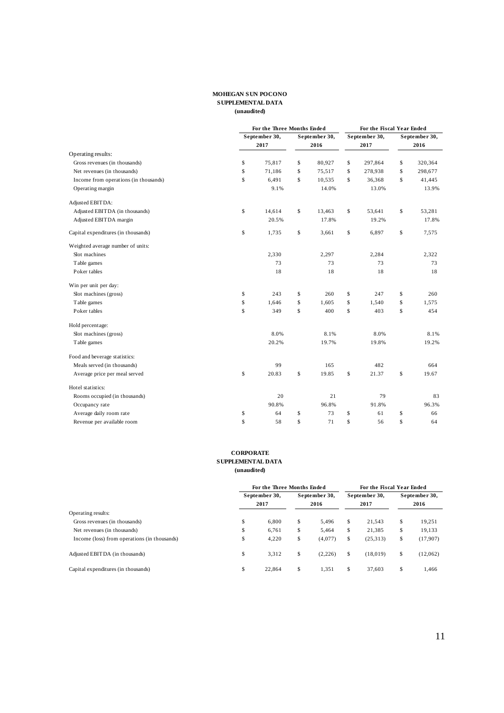### **MOHEGAN SUN POCONO SUPPLEMENTAL DATA (unaudited)**

|                                       |             | For the Three Months Ended |             |               | For the Fiscal Year Ended |               |               |
|---------------------------------------|-------------|----------------------------|-------------|---------------|---------------------------|---------------|---------------|
|                                       |             | September 30,              |             | September 30, | September 30,             |               | September 30, |
|                                       |             | 2017                       |             | 2016          | 2017                      |               | 2016          |
| Operating results:                    |             |                            |             |               |                           |               |               |
| Gross revenues (in thousands)         | \$          | 75,817                     | \$          | 80,927        | \$<br>297,864             | \$            | 320,364       |
| Net revenues (in thousands)           | \$          | 71,186                     | \$          | 75,517        | \$<br>278,938             | \$            | 298,677       |
| Income from operations (in thousands) | \$          | 6,491                      | \$          | 10,535        | \$<br>36,368              | \$            | 41,445        |
| Operating margin                      |             | 9.1%                       |             | 14.0%         | 13.0%                     |               | 13.9%         |
| Adjusted EBIT DA:                     |             |                            |             |               |                           |               |               |
| Adjusted EBITDA (in thousands)        | \$          | 14,614                     | \$          | 13,463        | \$<br>53,641              | \$            | 53,281        |
| Adjusted EBITDA margin                |             | 20.5%                      |             | 17.8%         | 19.2%                     |               | 17.8%         |
| Capital expenditures (in thousands)   | \$          | 1,735                      | \$          | 3,661         | \$<br>6,897               | \$            | 7,575         |
| Weighted average number of units:     |             |                            |             |               |                           |               |               |
| Slot machines                         |             | 2,330                      |             | 2,297         | 2,284                     |               | 2,322         |
| Table games                           |             | 73                         |             | 73            | 73                        |               | 73            |
| Poker tables                          |             | 18                         |             | 18            | 18                        |               | 18            |
| Win per unit per day:                 |             |                            |             |               |                           |               |               |
| Slot machines (gross)                 | \$          | 243                        | \$          | 260           | \$<br>247                 | \$            | 260           |
| Table games                           | \$          | 1,646                      | \$          | 1,605         | \$<br>1,540               | \$            | 1,575         |
| Poker tables                          | \$          | 349                        | $\mathbb S$ | 400           | \$<br>403                 | \$            | 454           |
| Hold percentage:                      |             |                            |             |               |                           |               |               |
| Slot machines (gross)                 |             | 8.0%                       |             | 8.1%          | 8.0%                      |               | 8.1%          |
| Table games                           |             | 20.2%                      |             | 19.7%         | 19.8%                     |               | 19.2%         |
| Food and beverage statistics:         |             |                            |             |               |                           |               |               |
| Meals served (in thousands)           |             | 99                         |             | 165           | 482                       |               | 664           |
| Average price per meal served         | \$          | 20.83                      | \$          | 19.85         | \$<br>21.37               | \$            | 19.67         |
| Hotel statistics:                     |             |                            |             |               |                           |               |               |
| Rooms occupied (in thousands)         |             | 20                         |             | 21            | 79                        |               | 83            |
| Occupancy rate                        |             | 90.8%                      |             | 96.8%         | 91.8%                     |               | 96.3%         |
| Average daily room rate               | \$          | 64                         | \$          | 73            | \$<br>61                  | \$            | 66            |
| Revenue per available room            | $\mathbb S$ | 58                         | $\mathbf S$ | 71            | \$<br>56                  | $\mathsf{\$}$ | 64            |

### **CORPORATE SUPPLEMENTAL DATA (unaudited)**

|                                              |      | <b>For the Three Months Ended</b> |    |               | For the Fiscal Year Ended |                |
|----------------------------------------------|------|-----------------------------------|----|---------------|---------------------------|----------------|
|                                              |      | September 30,                     |    | September 30, | September 30,             | September 30,  |
|                                              | 2017 |                                   |    | 2016          | 2017                      | 2016           |
| Operating results:                           |      |                                   |    |               |                           |                |
| Gross revenues (in thousands)                | \$   | 6.800                             | \$ | 5.496         | \$<br>21,543              | \$<br>19,251   |
| Net revenues (in thousands)                  | \$   | 6,761                             | \$ | 5.464         | \$<br>21,385              | \$<br>19,133   |
| Income (loss) from operations (in thousands) | \$   | 4,220                             | \$ | (4,077)       | \$<br>(25, 313)           | \$<br>(17,907) |
| Adjusted EBITDA (in thousands)               | \$   | 3.312                             | \$ | (2,226)       | \$<br>(18.019)            | \$<br>(12,062) |
| Capital expenditures (in thousands)          | \$   | 22,864                            | \$ | 1.351         | \$<br>37.603              | \$<br>1.466    |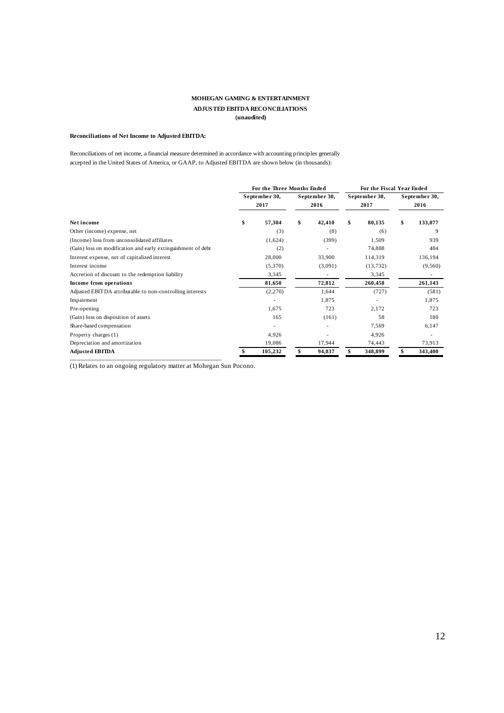# **MOHEGAN GAMING & ENTERTAINMENT ADJUSTED EBITDA RECONCILIATIONS (unaudited)**

# **Reconciliations of Net Income to Adjusted EBITDA:**

Reconciliations of net income, a financial measure determined in accordance with accounting principles generally accepted in the United States of America, or GAAP, to Adjusted EBITDA are shown below (in thousands):

|                                                              |    | <b>For the Three Months Ended</b> |    |                       | For the Fiscal Year Ended |                       |
|--------------------------------------------------------------|----|-----------------------------------|----|-----------------------|---------------------------|-----------------------|
|                                                              |    | September 30,<br>2017             |    | September 30,<br>2016 | September 30,<br>2017     | September 30,<br>2016 |
| Net income                                                   | \$ | 57,304                            | \$ | 42,410                | \$<br>80,135              | \$<br>133,077         |
| Other (income) expense, net                                  |    | (3)                               |    | (8)                   | (6)                       | 9                     |
| (Income) loss from unconsolidated affiliates                 |    | (1,624)                           |    | (399)                 | 1,509                     | 939                   |
| (Gain) loss on modification and early extinguishment of debt |    | (2)                               |    |                       | 74,888                    | 484                   |
| Interest expense, net of capitalized interest                |    | 28,000                            |    | 33,900                | 114,319                   | 136,194               |
| Interest income                                              |    | (5,370)                           |    | (3,091)               | (13, 732)                 | (9,560)               |
| Accretion of discount to the redemption liability            |    | 3,345                             |    | ٠                     | 3,345                     |                       |
| Income from operations                                       |    | 81,650                            |    | 72,812                | 260,458                   | 261,143               |
| Adjusted EBITDA attributable to non-controlling interests    |    | (2,270)                           |    | 1,644                 | (727)                     | (581)                 |
| Impairment                                                   |    | ٠                                 |    | 1,875                 |                           | 1,875                 |
| Pre-opening                                                  |    | 1,675                             |    | 723                   | 2,172                     | 723                   |
| (Gain) loss on disposition of assets                         |    | 165                               |    | (161)                 | 58                        | 180                   |
| Share-based compensation                                     |    | ٠                                 |    |                       | 7,569                     | 6,147                 |
| Property charges (1)                                         |    | 4,926                             |    |                       | 4,926                     | ٠                     |
| Depreciation and amortization                                |    | 19,086                            |    | 17,944                | 74,443                    | 73,913                |
| <b>Adjusted EBITDA</b>                                       |    | 105,232                           |    | 94,837                | 348,899                   | 343,400               |

(1) Relates to an ongoing regulatory matter at Mohegan Sun Pocono.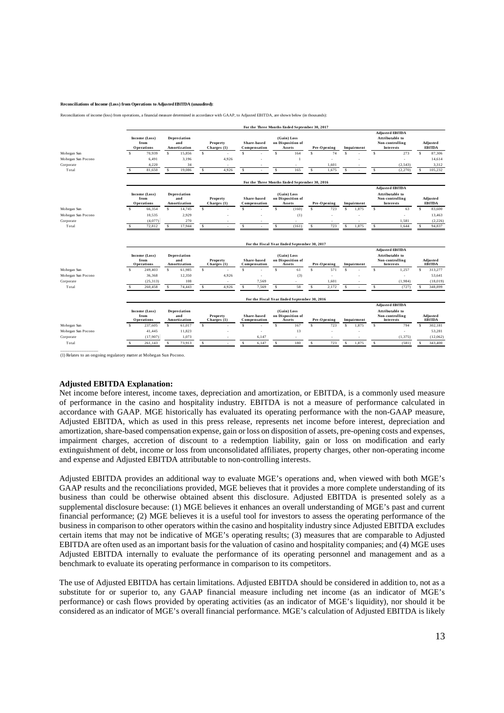#### **Reconciliations of Income (Loss) from Operations to Adjusted EBITDA (unaudited):**

Reconciliations of income (loss) from operations, a financial measure determined in accordance with GAAP, to Adjusted EBITDA, are shown below (in thousands):

|                    |              |                                            |     |                                            |               |                         |                             |                |                                  |                                               | For the Three Months Ended September 30, 2017 |             |              |            |              |                                                                           |               |                                  |
|--------------------|--------------|--------------------------------------------|-----|--------------------------------------------|---------------|-------------------------|-----------------------------|----------------|----------------------------------|-----------------------------------------------|-----------------------------------------------|-------------|--------------|------------|--------------|---------------------------------------------------------------------------|---------------|----------------------------------|
|                    |              | Income (Loss)<br>from<br>Operations        |     | <b>Depreciation</b><br>and<br>Amortization |               | Property<br>Charges (1) | Share-based<br>Compensation |                | (Gain) Loss<br>on Disposition of | <b>Assets</b>                                 |                                               | Pre-Opening |              | Impairment |              | <b>Adjusted EBITDA</b><br>Attributable to<br>Non-controlling<br>Interests |               | <b>Adjusted</b><br><b>EBITDA</b> |
| Mohegan Sun        | $\mathbf{s}$ | 70.939                                     | s.  | 15,856                                     | s             | ×,                      | s.                          |                | s                                | 164                                           | $\hat{\mathbf{x}}$                            | 74          | $\mathbf{s}$ |            | s            | 273                                                                       | s             | 87,306                           |
| Mohegan Sun Pocono |              | 6.491                                      |     | 3.196                                      |               | 4,926                   |                             |                |                                  |                                               |                                               |             |              |            |              | ÷.                                                                        |               | 14,614                           |
| Corporate          |              | 4,220                                      |     | 34                                         |               |                         |                             |                |                                  |                                               |                                               | 1,601       |              |            |              | (2, 543)                                                                  |               | 3,312                            |
| Total              | s            | 81,650                                     | \$. | 19,086                                     | \$            | 4,926                   | s                           |                | s                                | 165                                           | $\mathbf{s}$                                  | 1,675       | $\mathbf{s}$ |            | $\mathbf{s}$ | (2,270)                                                                   |               | 105,232                          |
|                    |              |                                            |     |                                            |               |                         |                             |                |                                  | For the Three Months Ended September 30, 2016 |                                               |             |              |            |              |                                                                           |               |                                  |
|                    |              |                                            |     |                                            |               |                         |                             |                |                                  |                                               |                                               |             |              |            |              | <b>Adjusted EBITDA</b>                                                    |               |                                  |
|                    |              | Income (Loss)<br>from<br>Operations        |     | Depreciation<br>and<br>Amortization        |               | Property<br>Charges (1) | Share-based<br>Compensation |                | (Gain) Loss                      | on Disposition of<br><b>Assets</b>            |                                               | Pre-Opening |              | Impairment |              | Attributable to<br>Non-controlling<br>Interests                           |               | <b>Adjusted</b><br><b>EBITDA</b> |
| Mohegan Sun        | s            | 66,354                                     | s   | 14,745                                     | $\mathbbm{S}$ |                         | Ś                           |                | $\mathbbm{S}$                    | (160)                                         | $\mathbf S$                                   | 723         | s            | 1,875      | $\mathbf S$  | 63                                                                        | $\mathbbm{S}$ | 83,600                           |
| Mohegan Sun Pocono |              | 10.535                                     |     | 2,929                                      |               |                         |                             |                |                                  | (1)                                           |                                               |             |              |            |              |                                                                           |               | 13,463                           |
|                    |              | (4,077)                                    |     | 270                                        |               |                         |                             |                |                                  | ×                                             |                                               | ٠           |              | ÷          |              | 1,581                                                                     |               | (2, 226)                         |
|                    |              |                                            |     |                                            |               |                         |                             |                | s                                | (161)                                         | s                                             | 723         | s            | 1,875      | s            | 1,644                                                                     |               | 94,837                           |
| Corporate<br>Total |              | 72,812                                     |     | 17,944                                     | \$            |                         | \$                          |                |                                  |                                               |                                               |             |              |            |              |                                                                           |               |                                  |
|                    |              |                                            |     |                                            |               |                         |                             |                |                                  | For the Fiscal Year Ended September 30, 2017  |                                               |             |              |            |              | <b>Adjusted EBITDA</b>                                                    |               |                                  |
|                    |              | Income (Loss)<br>from<br><b>Operations</b> |     | <b>Depreciation</b><br>and<br>Amortization |               | Property<br>Charges (1) | Share-based<br>Compensation |                | (Gain) Loss                      | on Disposition of<br><b>Assets</b>            |                                               | Pre-Opening |              | Impairment |              | Attributable to<br>Non-controlling<br><b>Interests</b>                    |               | <b>Adjusted</b><br><b>EBITDA</b> |
| Mohegan Sun        | s            | 249,403                                    | s   | 61,985                                     | $\mathbbm{S}$ |                         | s                           |                | s                                | 61                                            | s                                             | 571         | s            |            | s            | 1,257                                                                     | \$            | 313,277                          |
| Mohegan Sun Pocono |              | 36.368                                     |     | 12.350                                     |               | 4.926                   |                             | ٠              |                                  | (3)                                           |                                               | ٠           |              |            |              | ÷.                                                                        |               | 53,641                           |
| Corporate          |              | (25, 313)                                  |     | 108                                        |               |                         |                             | 7,569          |                                  |                                               |                                               | 1,601       |              |            |              | (1,984)                                                                   |               | (18, 019)                        |
| Total              | s            | 260,458                                    | \$. | 74,443                                     | s             | 4,926                   | s                           | 7,569          | s                                | 58                                            | s                                             | 2,172       | s            |            | s            | (727)                                                                     | s.            | 348,899                          |
|                    |              |                                            |     |                                            |               |                         |                             |                |                                  | For the Fiscal Year Ended September 30, 2016  |                                               |             |              |            |              |                                                                           |               |                                  |
|                    |              | Income (Loss)<br>from<br>Operations        |     | Depreciation<br>and<br>Amortization        |               | Property<br>Charges (1) | Share-based<br>Compensation |                | (Gain) Loss<br>on Disposition of | Assets                                        |                                               | Pre-Opening |              | Impairment |              | <b>Adjusted EBITDA</b><br>Attributable to<br>Non-controlling<br>Interests |               | <b>Adjusted</b><br><b>EBITDA</b> |
| Mohegan Sun        | s            | 237,605                                    | s.  | 61,017                                     | \$            |                         | s.                          |                | s                                | 167                                           | $\hat{\mathbf{x}}$                            | 723         | s            | 1,875      | s            | 794                                                                       | s             | 302,181                          |
| Mohegan Sun Pocono |              | 41,445                                     |     | 11,823                                     |               |                         |                             | ٠              |                                  | 13                                            |                                               | ٠           |              | ٠          |              | ÷.                                                                        |               | 53,281                           |
| Corporate          |              | (17,907)                                   |     | 1,073                                      |               |                         |                             | 6,147<br>6,147 |                                  | 180                                           |                                               | 723         |              | 1,875      |              | (1, 375)                                                                  |               | (12,062)                         |

(1) Relates to an ongoing regulatory matter at Mohegan Sun Pocono.

# **Adjusted EBITDA Explanation:**

Net income before interest, income taxes, depreciation and amortization, or EBITDA, is a commonly used measure of performance in the casino and hospitality industry. EBITDA is not a measure of performance calculated in accordance with GAAP. MGE historically has evaluated its operating performance with the non-GAAP measure, Adjusted EBITDA, which as used in this press release, represents net income before interest, depreciation and amortization, share-based compensation expense, gain or loss on disposition of assets, pre-opening costs and expenses, impairment charges, accretion of discount to a redemption liability, gain or loss on modification and early extinguishment of debt, income or loss from unconsolidated affiliates, property charges, other non-operating income and expense and Adjusted EBITDA attributable to non-controlling interests.

Adjusted EBITDA provides an additional way to evaluate MGE's operations and, when viewed with both MGE's GAAP results and the reconciliations provided, MGE believes that it provides a more complete understanding of its business than could be otherwise obtained absent this disclosure. Adjusted EBITDA is presented solely as a supplemental disclosure because: (1) MGE believes it enhances an overall understanding of MGE's past and current financial performance; (2) MGE believes it is a useful tool for investors to assess the operating performance of the business in comparison to other operators within the casino and hospitality industry since Adjusted EBITDA excludes certain items that may not be indicative of MGE's operating results; (3) measures that are comparable to Adjusted EBITDA are often used as an important basis for the valuation of casino and hospitality companies; and (4) MGE uses Adjusted EBITDA internally to evaluate the performance of its operating personnel and management and as a benchmark to evaluate its operating performance in comparison to its competitors.

The use of Adjusted EBITDA has certain limitations. Adjusted EBITDA should be considered in addition to, not as a substitute for or superior to, any GAAP financial measure including net income (as an indicator of MGE's performance) or cash flows provided by operating activities (as an indicator of MGE's liquidity), nor should it be considered as an indicator of MGE's overall financial performance. MGE's calculation of Adjusted EBITDA is likely